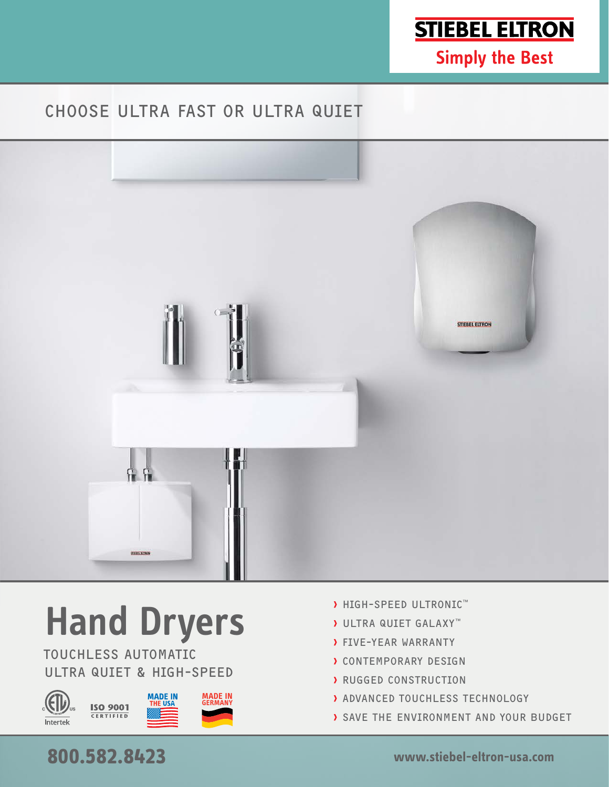

**Simply the Best** 

## CHOOSE ULTRA FAST OR ULTRA QUIET



# **Hand Dryers**

TOUCHLESS AUTOMATIC ULTRA QUIET & HIGH-SPEED



- › HIGH-SPEED ULTRONIC™
- › ULTRA QUIET GALAXY™
- › FIVE-YEAR WARRANTY
- › CONTEMPORARY DESIGN
- › RUGGED CONSTRUCTION
- › ADVANCED TOUCHLESS TECHNOLOGY
- › SAVE THE ENVIRONMENT AND YOUR BUDGET

## **800.582.8423 www.stiebel-eltron-usa.com**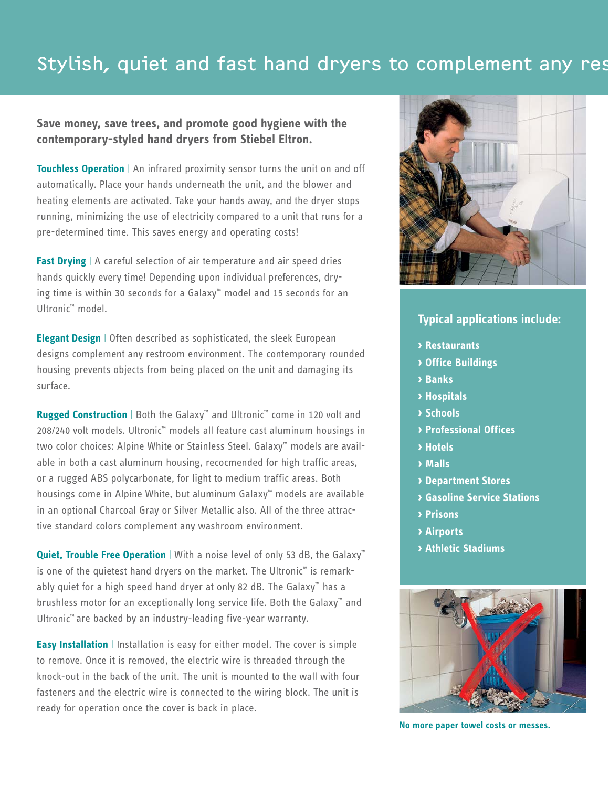## Stylish, quiet and fast hand dryers to complement any rest

#### **Save money, save trees, and promote good hygiene with the contemporary-styled hand dryers from Stiebel Eltron.**

**Touchless Operation** | An infrared proximity sensor turns the unit on and off automatically. Place your hands underneath the unit, and the blower and heating elements are activated. Take your hands away, and the dryer stops running, minimizing the use of electricity compared to a unit that runs for a pre-determined time. This saves energy and operating costs!

**Fast Drying** | A careful selection of air temperature and air speed dries hands quickly every time! Depending upon individual preferences, drying time is within 30 seconds for a Galaxy™ model and 15 seconds for an Ultronic™ model.

**Elegant Design** | Often described as sophisticated, the sleek European designs complement any restroom environment. The contemporary rounded housing prevents objects from being placed on the unit and damaging its surface.

**Rugged Construction** | Both the Galaxy™ and Ultronic™ come in 120 volt and 208/240 volt models. Ultronic™ models all feature cast aluminum housings in two color choices: Alpine White or Stainless Steel. Galaxy<sup>™</sup> models are available in both a cast aluminum housing, recocmended for high traffic areas, or a rugged ABS polycarbonate, for light to medium traffic areas. Both housings come in Alpine White, but aluminum Galaxy™ models are available in an optional Charcoal Gray or Silver Metallic also. All of the three attractive standard colors complement any washroom environment.

**Quiet, Trouble Free Operation** | With a noise level of only 53 dB, the Galaxy<sup>™</sup> is one of the quietest hand dryers on the market. The Ultronic™ is remarkably quiet for a high speed hand dryer at only 82 dB. The Galaxy™ has a brushless motor for an exceptionally long service life. Both the Galaxy™ and Ultronic™ are backed by an industry-leading five-year warranty.

**Easy Installation** | Installation is easy for either model. The cover is simple to remove. Once it is removed, the electric wire is threaded through the knock-out in the back of the unit. The unit is mounted to the wall with four fasteners and the electric wire is connected to the wiring block. The unit is ready for operation once the cover is back in place.



#### **Typical applications include:**

- **› Restaurants**
- **› Office Buildings**
- **› Banks**
- **› Hospitals**
- **› Schools**
- **› Professional Offices**
- **› Hotels**
- **› Malls**
- **› Department Stores**
- **› Gasoline Service Stations**
- **› Prisons**
- **› Airports**
- **› Athletic Stadiums**



**No more paper towel costs or messes.**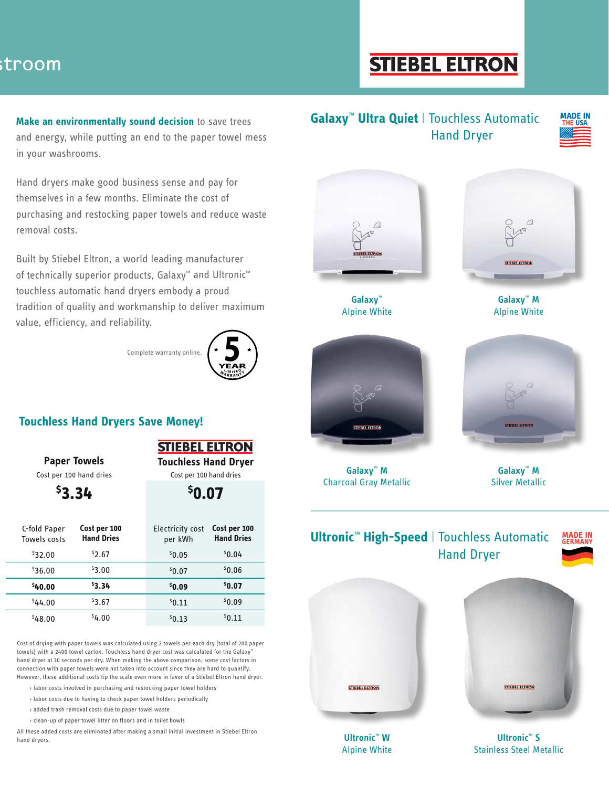## stroom

# **STIEBEL ELTRON**

**Make an environmentally sound decision** to save trees and energy, while putting an end to the paper towel mess in your washrooms.

Hand dryers make good business sense and pay for themselves in a few months. Eliminate the cost of purchasing and restocking paper towels and reduce waste removal costs.

Built by Stiebel Eltron, a world leading manufacturer of technically superior products, Galaxy™ and Ultronic™ touchless automatic hand dryers embody a proud tradition of quality and workmanship to deliver maximum value, efficiency, and reliability.

Complete warranty online.



#### **Touchless Hand Dryers Save Money!**

| <b>STIEBEL ELTRON</b>       |  |
|-----------------------------|--|
| <b>Touchless Hand Drver</b> |  |

Cost per 100 hand dries

**Paper Towels**

Cost per 100 hand dries

|                              | 53.34                             | \$0.07                      |                                   |  |  |
|------------------------------|-----------------------------------|-----------------------------|-----------------------------------|--|--|
| C-fold Paper<br>Towels costs | Cost per 100<br><b>Hand Dries</b> | Electricity cost<br>per kWh | Cost per 100<br><b>Hand Dries</b> |  |  |
| \$32.00                      | 52.67                             | 50.05                       | 50.04                             |  |  |
| \$36.00                      | \$3.00                            | \$0.07                      | 50.06                             |  |  |
| \$40.00                      | \$3.34                            | \$0.09                      | \$0.07                            |  |  |
| 544.00                       | \$3.67                            | \$0.11                      | \$0.09                            |  |  |
| \$48.00                      | 54.00                             | 50.13                       | 50.11                             |  |  |

Cost of drying with paper towels was calculated using 2 towels per each dry (total of 200 paper towels) with a 2400 towel carton. Touchless hand dryer cost was calculated for the Galaxy™ hand dryer at 30 seconds per dry. When making the above comparison, some cost factors in connection with paper towels were not taken into account since they are hard to quantify. However, these additional costs tip the scale even more in favor of a Stiebel Eltron hand dryer.

› labor costs involved in purchasing and restocking paper towel holders

- › labor costs due to having to check paper towel holders periodically
- › added trash removal costs due to paper towel waste

› clean-up of paper towel litter on floors and in toilet bowls

All these added costs are eliminated after making a small initial investment in Stiebel Eltron hand dryers.

#### **Galaxy**™ **Ultra Quiet** | Touchless Automatic Hand Dryer

**MADE IN THE USA** 



**Galaxy**™ Alpine White



**Galaxy**™ **M** Alpine White



**Galaxy**™ **M** Charcoal Gray Metallic



**Galaxy**™ **M** Silver Metallic



**Ultronic**™ **W** Alpine White

**Ultronic**™ **S** Stainless Steel Metallic